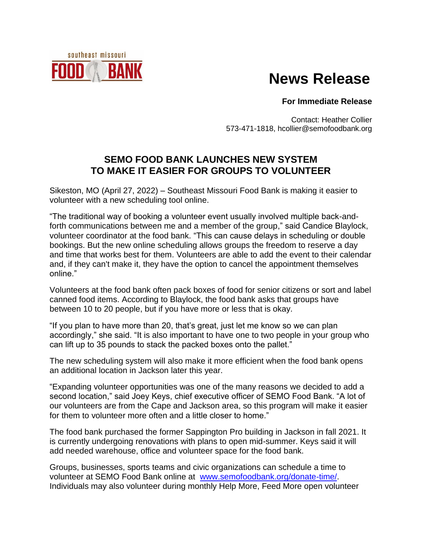## southeast missouri BA

# **News Release**

#### **For Immediate Release**

Contact: Heather Collier 573-471-1818, hcollier@semofoodbank.org

### **SEMO FOOD BANK LAUNCHES NEW SYSTEM TO MAKE IT EASIER FOR GROUPS TO VOLUNTEER**

Sikeston, MO (April 27, 2022) – Southeast Missouri Food Bank is making it easier to volunteer with a new scheduling tool online.

"The traditional way of booking a volunteer event usually involved multiple back-andforth communications between me and a member of the group," said Candice Blaylock, volunteer coordinator at the food bank. "This can cause delays in scheduling or double bookings. But the new online scheduling allows groups the freedom to reserve a day and time that works best for them. Volunteers are able to add the event to their calendar and, if they can't make it, they have the option to cancel the appointment themselves online."

Volunteers at the food bank often pack boxes of food for senior citizens or sort and label canned food items. According to Blaylock, the food bank asks that groups have between 10 to 20 people, but if you have more or less that is okay.

"If you plan to have more than 20, that's great, just let me know so we can plan accordingly," she said. "It is also important to have one to two people in your group who can lift up to 35 pounds to stack the packed boxes onto the pallet."

The new scheduling system will also make it more efficient when the food bank opens an additional location in Jackson later this year.

"Expanding volunteer opportunities was one of the many reasons we decided to add a second location," said Joey Keys, chief executive officer of SEMO Food Bank. "A lot of our volunteers are from the Cape and Jackson area, so this program will make it easier for them to volunteer more often and a little closer to home."

The food bank purchased the former Sappington Pro building in Jackson in fall 2021. It is currently undergoing renovations with plans to open mid-summer. Keys said it will add needed warehouse, office and volunteer space for the food bank.

Groups, businesses, sports teams and civic organizations can schedule a time to volunteer at SEMO Food Bank online at [www.semofoodbank.org/donate-time/.](http://www.semofoodbank.org/donate-time/) Individuals may also volunteer during monthly Help More, Feed More open volunteer